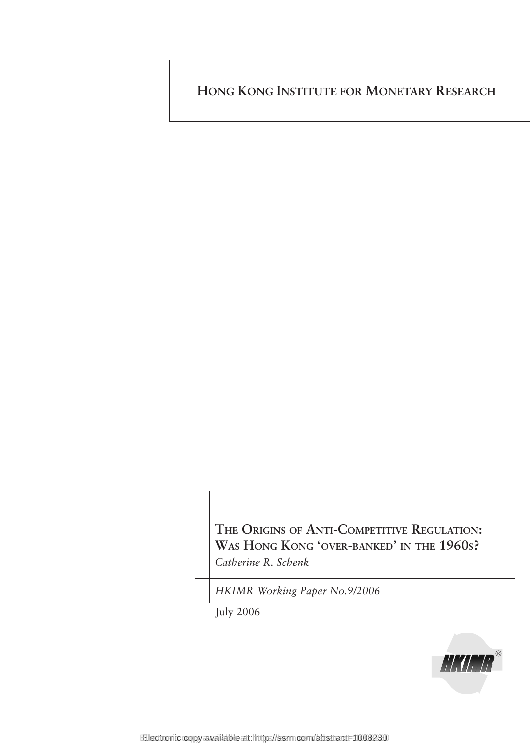**HONG KONG INSTITUTE FOR MONETARY RESEARCH**

**THE ORIGINS OF ANTI-COMPETITIVE REGULATION: WAS HONG KONG 'OVER-BANKED' IN THE 1960S?** *Catherine R. Schenk*

*HKIMR Working Paper No.9/2006* July 2006

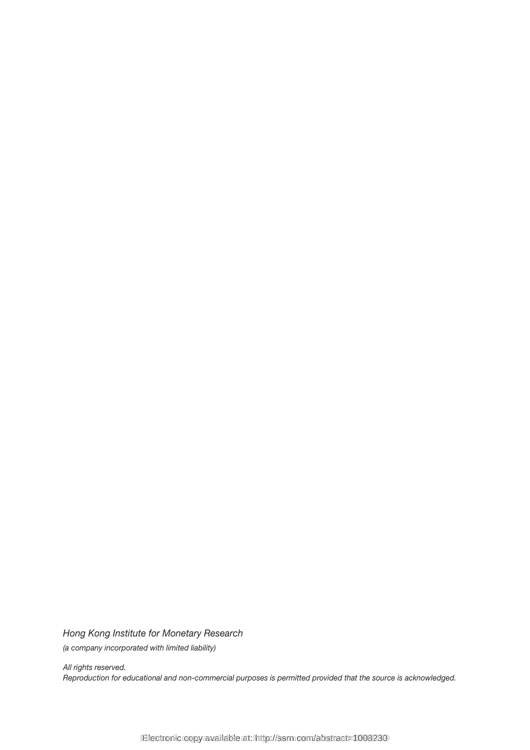*Hong Kong Institute for Monetary Research (a company incorporated with limited liability)*

*All rights reserved. Reproduction for educational and non-commercial purposes is permitted provided that the source is acknowledged.*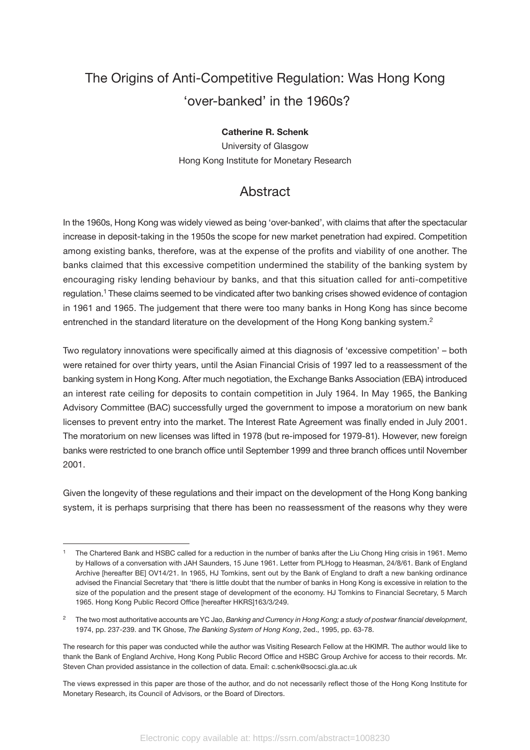# The Origins of Anti-Competitive Regulation: Was Hong Kong 'over-banked' in the 1960s?

### **Catherine R. Schenk**

University of Glasgow Hong Kong Institute for Monetary Research

## **Abstract**

In the 1960s, Hong Kong was widely viewed as being 'over-banked', with claims that after the spectacular increase in deposit-taking in the 1950s the scope for new market penetration had expired. Competition among existing banks, therefore, was at the expense of the profits and viability of one another. The banks claimed that this excessive competition undermined the stability of the banking system by encouraging risky lending behaviour by banks, and that this situation called for anti-competitive regulation.<sup>1</sup> These claims seemed to be vindicated after two banking crises showed evidence of contagion in 1961 and 1965. The judgement that there were too many banks in Hong Kong has since become entrenched in the standard literature on the development of the Hong Kong banking system.<sup>2</sup>

Two regulatory innovations were specifically aimed at this diagnosis of 'excessive competition' – both were retained for over thirty years, until the Asian Financial Crisis of 1997 led to a reassessment of the banking system in Hong Kong. After much negotiation, the Exchange Banks Association (EBA) introduced an interest rate ceiling for deposits to contain competition in July 1964. In May 1965, the Banking Advisory Committee (BAC) successfully urged the government to impose a moratorium on new bank licenses to prevent entry into the market. The Interest Rate Agreement was finally ended in July 2001. The moratorium on new licenses was lifted in 1978 (but re-imposed for 1979-81). However, new foreign banks were restricted to one branch office until September 1999 and three branch offices until November 2001.

Given the longevity of these regulations and their impact on the development of the Hong Kong banking system, it is perhaps surprising that there has been no reassessment of the reasons why they were

The views expressed in this paper are those of the author, and do not necessarily reflect those of the Hong Kong Institute for Monetary Research, its Council of Advisors, or the Board of Directors.

<sup>&</sup>lt;sup>1</sup> The Chartered Bank and HSBC called for a reduction in the number of banks after the Liu Chong Hing crisis in 1961. Memo by Hallows of a conversation with JAH Saunders, 15 June 1961. Letter from PLHogg to Heasman, 24/8/61. Bank of England Archive [hereafter BE] OV14/21. In 1965, HJ Tomkins, sent out by the Bank of England to draft a new banking ordinance advised the Financial Secretary that 'there is little doubt that the number of banks in Hong Kong is excessive in relation to the size of the population and the present stage of development of the economy. HJ Tomkins to Financial Secretary, 5 March 1965. Hong Kong Public Record Office [hereafter HKRS]163/3/249.

<sup>2</sup> The two most authoritative accounts are YC Jao, *Banking and Currency in Hong Kong; a study of postwar financial development*, 1974, pp. 237-239. and TK Ghose, *The Banking System of Hong Kong*, 2ed., 1995, pp. 63-78.

The research for this paper was conducted while the author was Visiting Research Fellow at the HKIMR. The author would like to thank the Bank of England Archive, Hong Kong Public Record Office and HSBC Group Archive for access to their records. Mr. Steven Chan provided assistance in the collection of data. Email: c.schenk@socsci.gla.ac.uk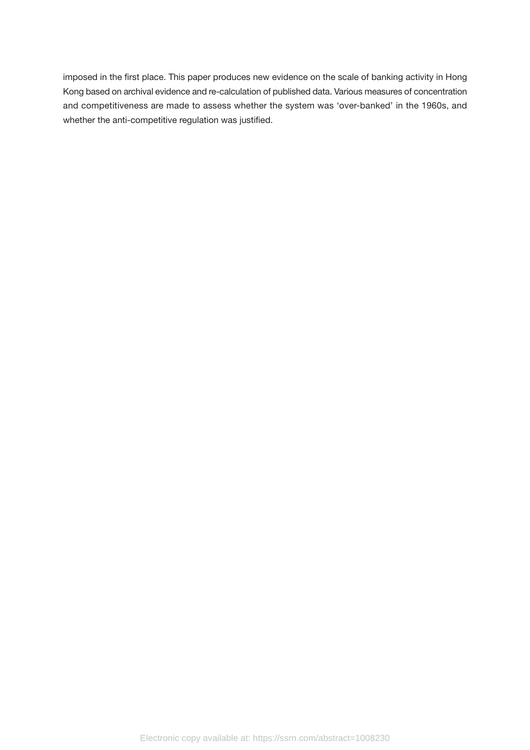imposed in the first place. This paper produces new evidence on the scale of banking activity in Hong Kong based on archival evidence and re-calculation of published data. Various measures of concentration and competitiveness are made to assess whether the system was 'over-banked' in the 1960s, and whether the anti-competitive regulation was justified.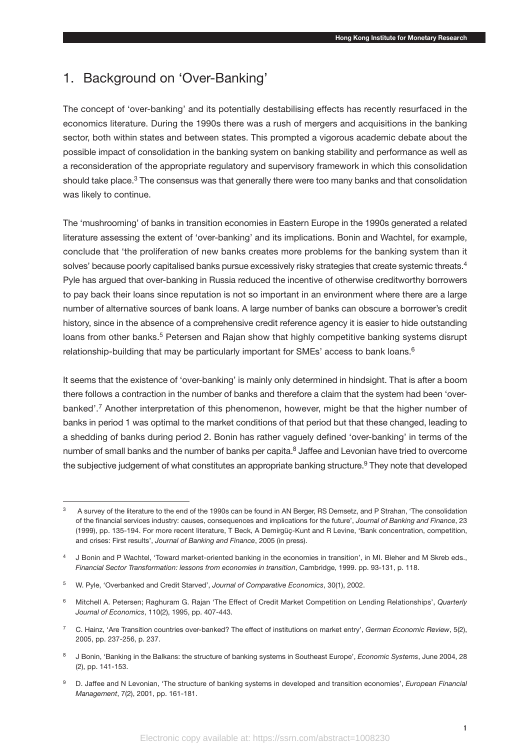### 1. Background on 'Over-Banking'

The concept of 'over-banking' and its potentially destabilising effects has recently resurfaced in the economics literature. During the 1990s there was a rush of mergers and acquisitions in the banking sector, both within states and between states. This prompted a vigorous academic debate about the possible impact of consolidation in the banking system on banking stability and performance as well as a reconsideration of the appropriate regulatory and supervisory framework in which this consolidation should take place.<sup>3</sup> The consensus was that generally there were too many banks and that consolidation was likely to continue.

The 'mushrooming' of banks in transition economies in Eastern Europe in the 1990s generated a related literature assessing the extent of 'over-banking' and its implications. Bonin and Wachtel, for example, conclude that 'the proliferation of new banks creates more problems for the banking system than it solves' because poorly capitalised banks pursue excessively risky strategies that create systemic threats.<sup>4</sup> Pyle has argued that over-banking in Russia reduced the incentive of otherwise creditworthy borrowers to pay back their loans since reputation is not so important in an environment where there are a large number of alternative sources of bank loans. A large number of banks can obscure a borrower's credit history, since in the absence of a comprehensive credit reference agency it is easier to hide outstanding loans from other banks.<sup>5</sup> Petersen and Rajan show that highly competitive banking systems disrupt relationship-building that may be particularly important for SMEs' access to bank loans.<sup>6</sup>

It seems that the existence of 'over-banking' is mainly only determined in hindsight. That is after a boom there follows a contraction in the number of banks and therefore a claim that the system had been 'overbanked'.7 Another interpretation of this phenomenon, however, might be that the higher number of banks in period 1 was optimal to the market conditions of that period but that these changed, leading to a shedding of banks during period 2. Bonin has rather vaguely defined 'over-banking' in terms of the number of small banks and the number of banks per capita.<sup>8</sup> Jaffee and Levonian have tried to overcome the subjective judgement of what constitutes an appropriate banking structure.<sup>9</sup> They note that developed

<sup>3</sup> A survey of the literature to the end of the 1990s can be found in AN Berger, RS Demsetz, and P Strahan, 'The consolidation of the financial services industry: causes, consequences and implications for the future', *Journal of Banking and Finance*, 23 (1999), pp. 135-194. For more recent literature, T Beck, A Demirgüç-Kunt and R Levine, 'Bank concentration, competition, and crises: First results', *Journal of Banking and Finance*, 2005 (in press).

<sup>&</sup>lt;sup>4</sup> J Bonin and P Wachtel, 'Toward market-oriented banking in the economies in transition', in MI. Bleher and M Skreb eds., *Financial Sector Transformation: lessons from economies in transition*, Cambridge, 1999. pp. 93-131, p. 118.

<sup>5</sup> W. Pyle, 'Overbanked and Credit Starved', *Journal of Comparative Economics*, 30(1), 2002.

<sup>6</sup> Mitchell A. Petersen; Raghuram G. Rajan 'The Effect of Credit Market Competition on Lending Relationships', *Quarterly Journal of Economics*, 110(2), 1995, pp. 407-443.

<sup>7</sup> C. Hainz, 'Are Transition countries over-banked? The effect of institutions on market entry', *German Economic Review*, 5(2), 2005, pp. 237-256, p. 237.

<sup>8</sup> J Bonin, 'Banking in the Balkans: the structure of banking systems in Southeast Europe', *Economic Systems*, June 2004, 28 (2), pp. 141-153.

<sup>9</sup> D. Jaffee and N Levonian, 'The structure of banking systems in developed and transition economies', *European Financial Management*, 7(2), 2001, pp. 161-181.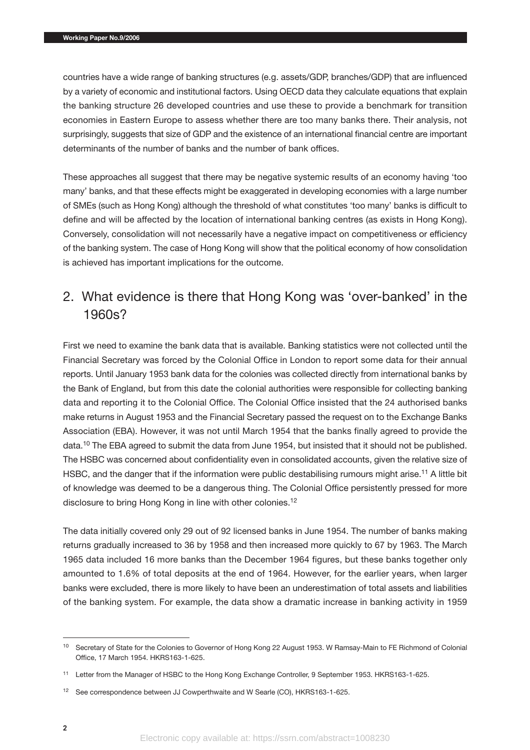countries have a wide range of banking structures (e.g. assets/GDP, branches/GDP) that are influenced by a variety of economic and institutional factors. Using OECD data they calculate equations that explain the banking structure 26 developed countries and use these to provide a benchmark for transition economies in Eastern Europe to assess whether there are too many banks there. Their analysis, not surprisingly, suggests that size of GDP and the existence of an international financial centre are important determinants of the number of banks and the number of bank offices.

These approaches all suggest that there may be negative systemic results of an economy having 'too many' banks, and that these effects might be exaggerated in developing economies with a large number of SMEs (such as Hong Kong) although the threshold of what constitutes 'too many' banks is difficult to define and will be affected by the location of international banking centres (as exists in Hong Kong). Conversely, consolidation will not necessarily have a negative impact on competitiveness or efficiency of the banking system. The case of Hong Kong will show that the political economy of how consolidation is achieved has important implications for the outcome.

# 2. What evidence is there that Hong Kong was 'over-banked' in the 1960s?

First we need to examine the bank data that is available. Banking statistics were not collected until the Financial Secretary was forced by the Colonial Office in London to report some data for their annual reports. Until January 1953 bank data for the colonies was collected directly from international banks by the Bank of England, but from this date the colonial authorities were responsible for collecting banking data and reporting it to the Colonial Office. The Colonial Office insisted that the 24 authorised banks make returns in August 1953 and the Financial Secretary passed the request on to the Exchange Banks Association (EBA). However, it was not until March 1954 that the banks finally agreed to provide the data.10 The EBA agreed to submit the data from June 1954, but insisted that it should not be published. The HSBC was concerned about confidentiality even in consolidated accounts, given the relative size of HSBC, and the danger that if the information were public destabilising rumours might arise.<sup>11</sup> A little bit of knowledge was deemed to be a dangerous thing. The Colonial Office persistently pressed for more disclosure to bring Hong Kong in line with other colonies.12

The data initially covered only 29 out of 92 licensed banks in June 1954. The number of banks making returns gradually increased to 36 by 1958 and then increased more quickly to 67 by 1963. The March 1965 data included 16 more banks than the December 1964 figures, but these banks together only amounted to 1.6% of total deposits at the end of 1964. However, for the earlier years, when larger banks were excluded, there is more likely to have been an underestimation of total assets and liabilities of the banking system. For example, the data show a dramatic increase in banking activity in 1959

<sup>10</sup> Secretary of State for the Colonies to Governor of Hong Kong 22 August 1953. W Ramsay-Main to FE Richmond of Colonial Office, 17 March 1954. HKRS163-1-625.

<sup>11</sup> Letter from the Manager of HSBC to the Hong Kong Exchange Controller, 9 September 1953. HKRS163-1-625.

<sup>&</sup>lt;sup>12</sup> See correspondence between JJ Cowperthwaite and W Searle (CO), HKRS163-1-625.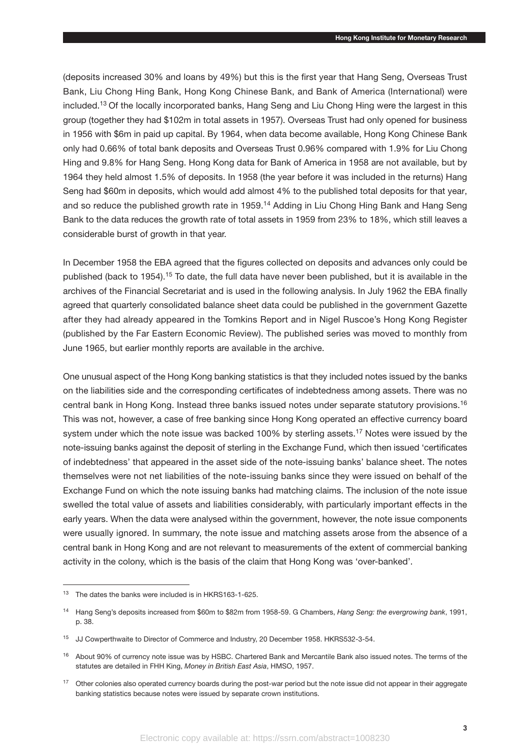(deposits increased 30% and loans by 49%) but this is the first year that Hang Seng, Overseas Trust Bank, Liu Chong Hing Bank, Hong Kong Chinese Bank, and Bank of America (International) were included.13 Of the locally incorporated banks, Hang Seng and Liu Chong Hing were the largest in this group (together they had \$102m in total assets in 1957). Overseas Trust had only opened for business in 1956 with \$6m in paid up capital. By 1964, when data become available, Hong Kong Chinese Bank only had 0.66% of total bank deposits and Overseas Trust 0.96% compared with 1.9% for Liu Chong Hing and 9.8% for Hang Seng. Hong Kong data for Bank of America in 1958 are not available, but by 1964 they held almost 1.5% of deposits. In 1958 (the year before it was included in the returns) Hang Seng had \$60m in deposits, which would add almost 4% to the published total deposits for that year, and so reduce the published growth rate in 1959.<sup>14</sup> Adding in Liu Chong Hing Bank and Hang Seng Bank to the data reduces the growth rate of total assets in 1959 from 23% to 18%, which still leaves a considerable burst of growth in that year.

In December 1958 the EBA agreed that the figures collected on deposits and advances only could be published (back to 1954).15 To date, the full data have never been published, but it is available in the archives of the Financial Secretariat and is used in the following analysis. In July 1962 the EBA finally agreed that quarterly consolidated balance sheet data could be published in the government Gazette after they had already appeared in the Tomkins Report and in Nigel Ruscoe's Hong Kong Register (published by the Far Eastern Economic Review). The published series was moved to monthly from June 1965, but earlier monthly reports are available in the archive.

One unusual aspect of the Hong Kong banking statistics is that they included notes issued by the banks on the liabilities side and the corresponding certificates of indebtedness among assets. There was no central bank in Hong Kong. Instead three banks issued notes under separate statutory provisions.16 This was not, however, a case of free banking since Hong Kong operated an effective currency board system under which the note issue was backed 100% by sterling assets.<sup>17</sup> Notes were issued by the note-issuing banks against the deposit of sterling in the Exchange Fund, which then issued 'certificates of indebtedness' that appeared in the asset side of the note-issuing banks' balance sheet. The notes themselves were not net liabilities of the note-issuing banks since they were issued on behalf of the Exchange Fund on which the note issuing banks had matching claims. The inclusion of the note issue swelled the total value of assets and liabilities considerably, with particularly important effects in the early years. When the data were analysed within the government, however, the note issue components were usually ignored. In summary, the note issue and matching assets arose from the absence of a central bank in Hong Kong and are not relevant to measurements of the extent of commercial banking activity in the colony, which is the basis of the claim that Hong Kong was 'over-banked'.

<sup>&</sup>lt;sup>13</sup> The dates the banks were included is in HKRS163-1-625.

<sup>14</sup> Hang Seng's deposits increased from \$60m to \$82m from 1958-59. G Chambers, *Hang Seng: the evergrowing bank*, 1991, p. 38.

<sup>15</sup> JJ Cowperthwaite to Director of Commerce and Industry, 20 December 1958. HKRS532-3-54.

<sup>16</sup> About 90% of currency note issue was by HSBC. Chartered Bank and Mercantile Bank also issued notes. The terms of the statutes are detailed in FHH King, *Money in British East Asia*, HMSO, 1957.

<sup>&</sup>lt;sup>17</sup> Other colonies also operated currency boards during the post-war period but the note issue did not appear in their aggregate banking statistics because notes were issued by separate crown institutions.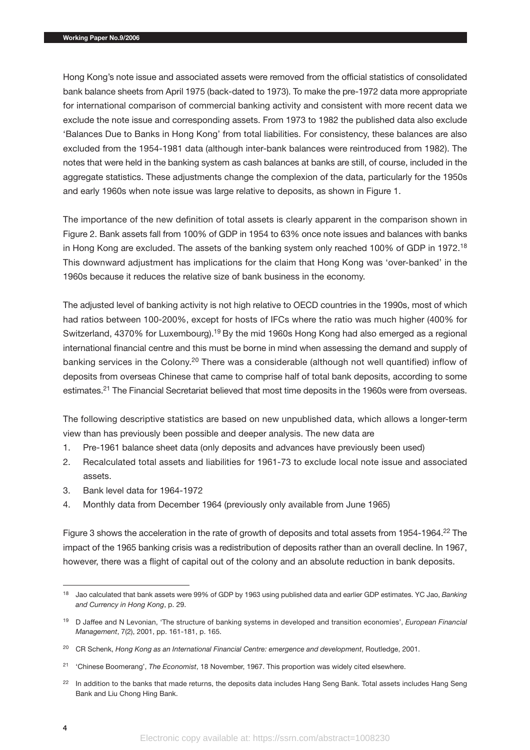Hong Kong's note issue and associated assets were removed from the official statistics of consolidated bank balance sheets from April 1975 (back-dated to 1973). To make the pre-1972 data more appropriate for international comparison of commercial banking activity and consistent with more recent data we exclude the note issue and corresponding assets. From 1973 to 1982 the published data also exclude 'Balances Due to Banks in Hong Kong' from total liabilities. For consistency, these balances are also excluded from the 1954-1981 data (although inter-bank balances were reintroduced from 1982). The notes that were held in the banking system as cash balances at banks are still, of course, included in the aggregate statistics. These adjustments change the complexion of the data, particularly for the 1950s and early 1960s when note issue was large relative to deposits, as shown in Figure 1.

The importance of the new definition of total assets is clearly apparent in the comparison shown in Figure 2. Bank assets fall from 100% of GDP in 1954 to 63% once note issues and balances with banks in Hong Kong are excluded. The assets of the banking system only reached 100% of GDP in 1972.<sup>18</sup> This downward adjustment has implications for the claim that Hong Kong was 'over-banked' in the 1960s because it reduces the relative size of bank business in the economy.

The adjusted level of banking activity is not high relative to OECD countries in the 1990s, most of which had ratios between 100-200%, except for hosts of IFCs where the ratio was much higher (400% for Switzerland, 4370% for Luxembourg).<sup>19</sup> By the mid 1960s Hong Kong had also emerged as a regional international financial centre and this must be borne in mind when assessing the demand and supply of banking services in the Colony.<sup>20</sup> There was a considerable (although not well quantified) inflow of deposits from overseas Chinese that came to comprise half of total bank deposits, according to some estimates.<sup>21</sup> The Financial Secretariat believed that most time deposits in the 1960s were from overseas.

The following descriptive statistics are based on new unpublished data, which allows a longer-term view than has previously been possible and deeper analysis. The new data are

- 1. Pre-1961 balance sheet data (only deposits and advances have previously been used)
- 2. Recalculated total assets and liabilities for 1961-73 to exclude local note issue and associated assets.
- 3. Bank level data for 1964-1972
- 4. Monthly data from December 1964 (previously only available from June 1965)

Figure 3 shows the acceleration in the rate of growth of deposits and total assets from 1954-1964.<sup>22</sup> The impact of the 1965 banking crisis was a redistribution of deposits rather than an overall decline. In 1967, however, there was a flight of capital out of the colony and an absolute reduction in bank deposits.

<sup>18</sup> Jao calculated that bank assets were 99% of GDP by 1963 using published data and earlier GDP estimates. YC Jao, *Banking and Currency in Hong Kong*, p. 29.

<sup>19</sup> D Jaffee and N Levonian, 'The structure of banking systems in developed and transition economies', *European Financial Management*, 7(2), 2001, pp. 161-181, p. 165.

<sup>20</sup> CR Schenk, *Hong Kong as an International Financial Centre: emergence and development*, Routledge, 2001.

<sup>21</sup> 'Chinese Boomerang', *The Economist*, 18 November, 1967. This proportion was widely cited elsewhere.

<sup>&</sup>lt;sup>22</sup> In addition to the banks that made returns, the deposits data includes Hang Seng Bank. Total assets includes Hang Seng Bank and Liu Chong Hing Bank.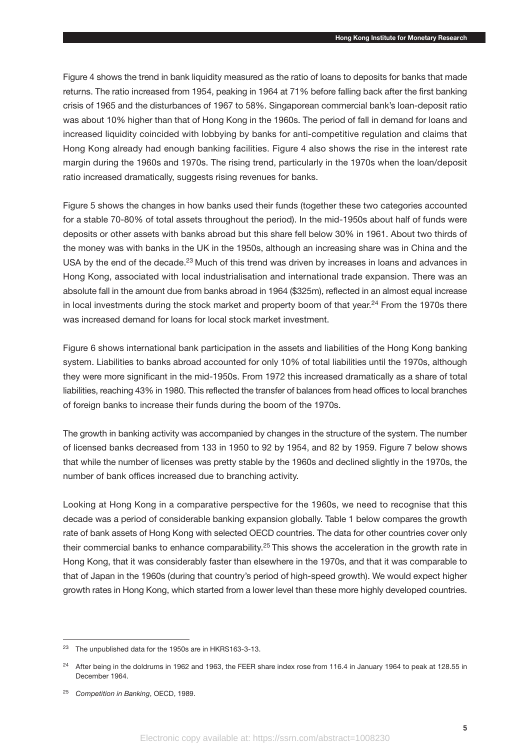Figure 4 shows the trend in bank liquidity measured as the ratio of loans to deposits for banks that made returns. The ratio increased from 1954, peaking in 1964 at 71% before falling back after the first banking crisis of 1965 and the disturbances of 1967 to 58%. Singaporean commercial bank's loan-deposit ratio was about 10% higher than that of Hong Kong in the 1960s. The period of fall in demand for loans and increased liquidity coincided with lobbying by banks for anti-competitive regulation and claims that Hong Kong already had enough banking facilities. Figure 4 also shows the rise in the interest rate margin during the 1960s and 1970s. The rising trend, particularly in the 1970s when the loan/deposit ratio increased dramatically, suggests rising revenues for banks.

Figure 5 shows the changes in how banks used their funds (together these two categories accounted for a stable 70-80% of total assets throughout the period). In the mid-1950s about half of funds were deposits or other assets with banks abroad but this share fell below 30% in 1961. About two thirds of the money was with banks in the UK in the 1950s, although an increasing share was in China and the USA by the end of the decade.<sup>23</sup> Much of this trend was driven by increases in loans and advances in Hong Kong, associated with local industrialisation and international trade expansion. There was an absolute fall in the amount due from banks abroad in 1964 (\$325m), reflected in an almost equal increase in local investments during the stock market and property boom of that year.<sup>24</sup> From the 1970s there was increased demand for loans for local stock market investment.

Figure 6 shows international bank participation in the assets and liabilities of the Hong Kong banking system. Liabilities to banks abroad accounted for only 10% of total liabilities until the 1970s, although they were more significant in the mid-1950s. From 1972 this increased dramatically as a share of total liabilities, reaching 43% in 1980. This reflected the transfer of balances from head offices to local branches of foreign banks to increase their funds during the boom of the 1970s.

The growth in banking activity was accompanied by changes in the structure of the system. The number of licensed banks decreased from 133 in 1950 to 92 by 1954, and 82 by 1959. Figure 7 below shows that while the number of licenses was pretty stable by the 1960s and declined slightly in the 1970s, the number of bank offices increased due to branching activity.

Looking at Hong Kong in a comparative perspective for the 1960s, we need to recognise that this decade was a period of considerable banking expansion globally. Table 1 below compares the growth rate of bank assets of Hong Kong with selected OECD countries. The data for other countries cover only their commercial banks to enhance comparability.<sup>25</sup> This shows the acceleration in the growth rate in Hong Kong, that it was considerably faster than elsewhere in the 1970s, and that it was comparable to that of Japan in the 1960s (during that country's period of high-speed growth). We would expect higher growth rates in Hong Kong, which started from a lower level than these more highly developed countries.

<sup>23</sup> The unpublished data for the 1950s are in HKRS163-3-13.

<sup>&</sup>lt;sup>24</sup> After being in the doldrums in 1962 and 1963, the FEER share index rose from 116.4 in January 1964 to peak at 128.55 in December 1964.

<sup>25</sup> *Competition in Banking*, OECD, 1989.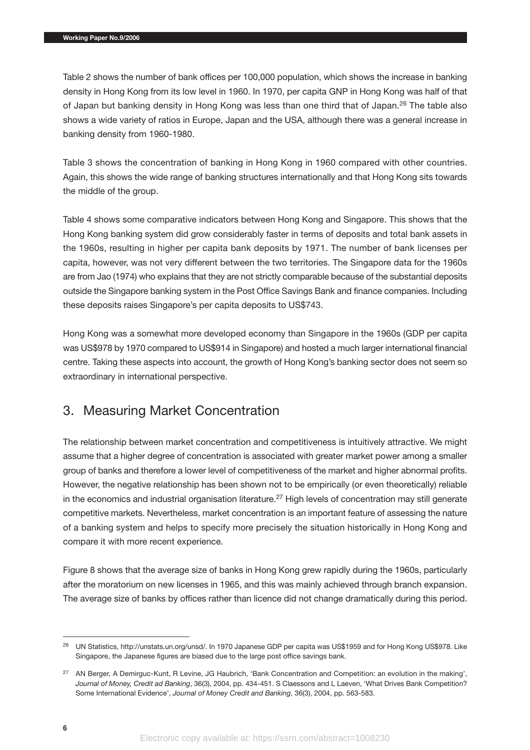Table 2 shows the number of bank offices per 100,000 population, which shows the increase in banking density in Hong Kong from its low level in 1960. In 1970, per capita GNP in Hong Kong was half of that of Japan but banking density in Hong Kong was less than one third that of Japan.<sup>26</sup> The table also shows a wide variety of ratios in Europe, Japan and the USA, although there was a general increase in banking density from 1960-1980.

Table 3 shows the concentration of banking in Hong Kong in 1960 compared with other countries. Again, this shows the wide range of banking structures internationally and that Hong Kong sits towards the middle of the group.

Table 4 shows some comparative indicators between Hong Kong and Singapore. This shows that the Hong Kong banking system did grow considerably faster in terms of deposits and total bank assets in the 1960s, resulting in higher per capita bank deposits by 1971. The number of bank licenses per capita, however, was not very different between the two territories. The Singapore data for the 1960s are from Jao (1974) who explains that they are not strictly comparable because of the substantial deposits outside the Singapore banking system in the Post Office Savings Bank and finance companies. Including these deposits raises Singapore's per capita deposits to US\$743.

Hong Kong was a somewhat more developed economy than Singapore in the 1960s (GDP per capita was US\$978 by 1970 compared to US\$914 in Singapore) and hosted a much larger international financial centre. Taking these aspects into account, the growth of Hong Kong's banking sector does not seem so extraordinary in international perspective.

# 3. Measuring Market Concentration

The relationship between market concentration and competitiveness is intuitively attractive. We might assume that a higher degree of concentration is associated with greater market power among a smaller group of banks and therefore a lower level of competitiveness of the market and higher abnormal profits. However, the negative relationship has been shown not to be empirically (or even theoretically) reliable in the economics and industrial organisation literature.<sup>27</sup> High levels of concentration may still generate competitive markets. Nevertheless, market concentration is an important feature of assessing the nature of a banking system and helps to specify more precisely the situation historically in Hong Kong and compare it with more recent experience.

Figure 8 shows that the average size of banks in Hong Kong grew rapidly during the 1960s, particularly after the moratorium on new licenses in 1965, and this was mainly achieved through branch expansion. The average size of banks by offices rather than licence did not change dramatically during this period.

<sup>26</sup> UN Statistics, http://unstats.un.org/unsd/. In 1970 Japanese GDP per capita was US\$1959 and for Hong Kong US\$978. Like Singapore, the Japanese figures are biased due to the large post office savings bank.

<sup>&</sup>lt;sup>27</sup> AN Berger, A Demirguc-Kunt, R Levine, JG Haubrich, 'Bank Concentration and Competition: an evolution in the making', *Journal of Money, Credit ad Banking*, 36(3), 2004, pp. 434-451. S Claessons and L Laeven, 'What Drives Bank Competition? Some International Evidence', *Journal of Money Credit and Banking*, 36(3), 2004, pp. 563-583.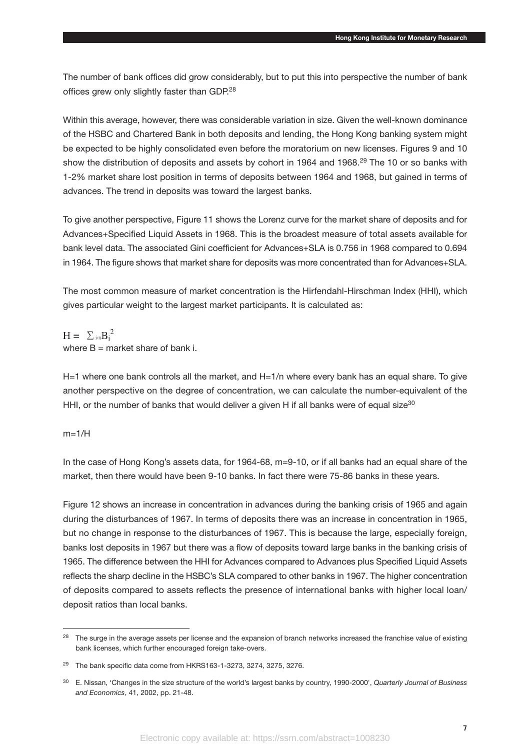The number of bank offices did grow considerably, but to put this into perspective the number of bank offices grew only slightly faster than GDP.<sup>28</sup>

Within this average, however, there was considerable variation in size. Given the well-known dominance of the HSBC and Chartered Bank in both deposits and lending, the Hong Kong banking system might be expected to be highly consolidated even before the moratorium on new licenses. Figures 9 and 10 show the distribution of deposits and assets by cohort in 1964 and 1968.<sup>29</sup> The 10 or so banks with 1-2% market share lost position in terms of deposits between 1964 and 1968, but gained in terms of advances. The trend in deposits was toward the largest banks.

To give another perspective, Figure 11 shows the Lorenz curve for the market share of deposits and for Advances+Specified Liquid Assets in 1968. This is the broadest measure of total assets available for bank level data. The associated Gini coefficient for Advances+SLA is 0.756 in 1968 compared to 0.694 in 1964. The figure shows that market share for deposits was more concentrated than for Advances+SLA.

The most common measure of market concentration is the Hirfendahl-Hirschman Index (HHI), which gives particular weight to the largest market participants. It is calculated as:

### $H = \sum_{i=1}^{n} B_i^2$ where  $B =$  market share of bank i.

H=1 where one bank controls all the market, and H=1/n where every bank has an equal share. To give another perspective on the degree of concentration, we can calculate the number-equivalent of the HHI, or the number of banks that would deliver a given H if all banks were of equal size<sup>30</sup>

### $m=1/H$

In the case of Hong Kong's assets data, for 1964-68, m=9-10, or if all banks had an equal share of the market, then there would have been 9-10 banks. In fact there were 75-86 banks in these years.

Figure 12 shows an increase in concentration in advances during the banking crisis of 1965 and again during the disturbances of 1967. In terms of deposits there was an increase in concentration in 1965, but no change in response to the disturbances of 1967. This is because the large, especially foreign, banks lost deposits in 1967 but there was a flow of deposits toward large banks in the banking crisis of 1965. The difference between the HHI for Advances compared to Advances plus Specified Liquid Assets reflects the sharp decline in the HSBC's SLA compared to other banks in 1967. The higher concentration of deposits compared to assets reflects the presence of international banks with higher local loan/ deposit ratios than local banks.

The surge in the average assets per license and the expansion of branch networks increased the franchise value of existing bank licenses, which further encouraged foreign take-overs.

<sup>&</sup>lt;sup>29</sup> The bank specific data come from HKRS163-1-3273, 3274, 3275, 3276.

<sup>30</sup> E. Nissan, 'Changes in the size structure of the world's largest banks by country, 1990-2000', *Quarterly Journal of Business and Economics*, 41, 2002, pp. 21-48.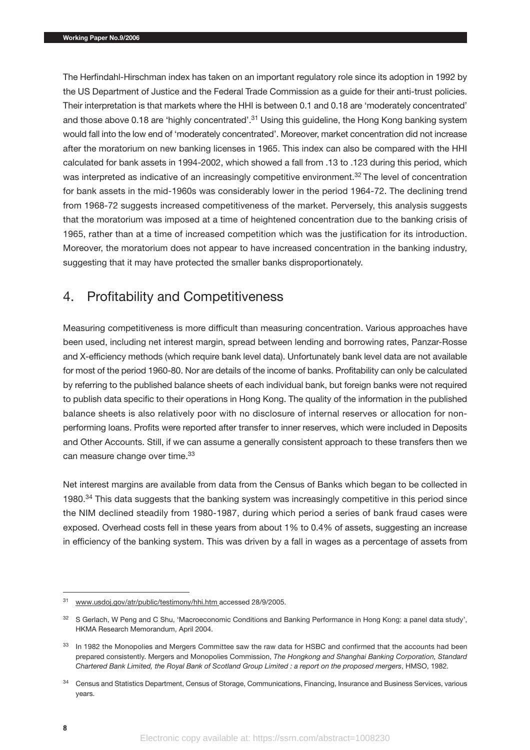The Herfindahl-Hirschman index has taken on an important regulatory role since its adoption in 1992 by the US Department of Justice and the Federal Trade Commission as a guide for their anti-trust policies. Their interpretation is that markets where the HHI is between 0.1 and 0.18 are 'moderately concentrated' and those above 0.18 are 'highly concentrated'.<sup>31</sup> Using this guideline, the Hong Kong banking system would fall into the low end of 'moderately concentrated'. Moreover, market concentration did not increase after the moratorium on new banking licenses in 1965. This index can also be compared with the HHI calculated for bank assets in 1994-2002, which showed a fall from .13 to .123 during this period, which was interpreted as indicative of an increasingly competitive environment.<sup>32</sup> The level of concentration for bank assets in the mid-1960s was considerably lower in the period 1964-72. The declining trend from 1968-72 suggests increased competitiveness of the market. Perversely, this analysis suggests that the moratorium was imposed at a time of heightened concentration due to the banking crisis of 1965, rather than at a time of increased competition which was the justification for its introduction. Moreover, the moratorium does not appear to have increased concentration in the banking industry, suggesting that it may have protected the smaller banks disproportionately.

### 4. Profitability and Competitiveness

Measuring competitiveness is more difficult than measuring concentration. Various approaches have been used, including net interest margin, spread between lending and borrowing rates, Panzar-Rosse and X-efficiency methods (which require bank level data). Unfortunately bank level data are not available for most of the period 1960-80. Nor are details of the income of banks. Profitability can only be calculated by referring to the published balance sheets of each individual bank, but foreign banks were not required to publish data specific to their operations in Hong Kong. The quality of the information in the published balance sheets is also relatively poor with no disclosure of internal reserves or allocation for nonperforming loans. Profits were reported after transfer to inner reserves, which were included in Deposits and Other Accounts. Still, if we can assume a generally consistent approach to these transfers then we can measure change over time.<sup>33</sup>

Net interest margins are available from data from the Census of Banks which began to be collected in 1980.<sup>34</sup> This data suggests that the banking system was increasingly competitive in this period since the NIM declined steadily from 1980-1987, during which period a series of bank fraud cases were exposed. Overhead costs fell in these years from about 1% to 0.4% of assets, suggesting an increase in efficiency of the banking system. This was driven by a fall in wages as a percentage of assets from

<sup>31</sup> www.usdoj.gov/atr/public/testimony/hhi.htm accessed 28/9/2005.

<sup>&</sup>lt;sup>32</sup> S Gerlach, W Peng and C Shu, 'Macroeconomic Conditions and Banking Performance in Hong Kong: a panel data study', HKMA Research Memorandum, April 2004.

<sup>&</sup>lt;sup>33</sup> In 1982 the Monopolies and Mergers Committee saw the raw data for HSBC and confirmed that the accounts had been prepared consistently. Mergers and Monopolies Commission, *The Hongkong and Shanghai Banking Corporation, Standard Chartered Bank Limited, the Royal Bank of Scotland Group Limited : a report on the proposed mergers*, HMSO, 1982.

<sup>34</sup> Census and Statistics Department, Census of Storage, Communications, Financing, Insurance and Business Services, various years.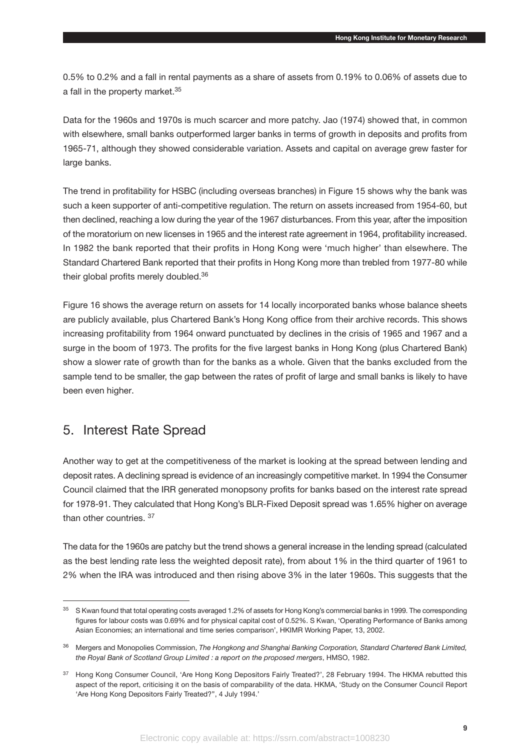0.5% to 0.2% and a fall in rental payments as a share of assets from 0.19% to 0.06% of assets due to a fall in the property market.35

Data for the 1960s and 1970s is much scarcer and more patchy. Jao (1974) showed that, in common with elsewhere, small banks outperformed larger banks in terms of growth in deposits and profits from 1965-71, although they showed considerable variation. Assets and capital on average grew faster for large banks.

The trend in profitability for HSBC (including overseas branches) in Figure 15 shows why the bank was such a keen supporter of anti-competitive regulation. The return on assets increased from 1954-60, but then declined, reaching a low during the year of the 1967 disturbances. From this year, after the imposition of the moratorium on new licenses in 1965 and the interest rate agreement in 1964, profitability increased. In 1982 the bank reported that their profits in Hong Kong were 'much higher' than elsewhere. The Standard Chartered Bank reported that their profits in Hong Kong more than trebled from 1977-80 while their global profits merely doubled.36

Figure 16 shows the average return on assets for 14 locally incorporated banks whose balance sheets are publicly available, plus Chartered Bank's Hong Kong office from their archive records. This shows increasing profitability from 1964 onward punctuated by declines in the crisis of 1965 and 1967 and a surge in the boom of 1973. The profits for the five largest banks in Hong Kong (plus Chartered Bank) show a slower rate of growth than for the banks as a whole. Given that the banks excluded from the sample tend to be smaller, the gap between the rates of profit of large and small banks is likely to have been even higher.

### 5. Interest Rate Spread

Another way to get at the competitiveness of the market is looking at the spread between lending and deposit rates. A declining spread is evidence of an increasingly competitive market. In 1994 the Consumer Council claimed that the IRR generated monopsony profits for banks based on the interest rate spread for 1978-91. They calculated that Hong Kong's BLR-Fixed Deposit spread was 1.65% higher on average than other countries. 37

The data for the 1960s are patchy but the trend shows a general increase in the lending spread (calculated as the best lending rate less the weighted deposit rate), from about 1% in the third quarter of 1961 to 2% when the IRA was introduced and then rising above 3% in the later 1960s. This suggests that the

<sup>&</sup>lt;sup>35</sup> S Kwan found that total operating costs averaged 1.2% of assets for Hong Kong's commercial banks in 1999. The corresponding figures for labour costs was 0.69% and for physical capital cost of 0.52%. S Kwan, 'Operating Performance of Banks among Asian Economies; an international and time series comparison', HKIMR Working Paper, 13, 2002.

<sup>36</sup> Mergers and Monopolies Commission, *The Hongkong and Shanghai Banking Corporation, Standard Chartered Bank Limited, the Royal Bank of Scotland Group Limited : a report on the proposed mergers*, HMSO, 1982.

<sup>&</sup>lt;sup>37</sup> Hong Kong Consumer Council, 'Are Hong Kong Depositors Fairly Treated?', 28 February 1994. The HKMA rebutted this aspect of the report, criticising it on the basis of comparability of the data. HKMA, 'Study on the Consumer Council Report 'Are Hong Kong Depositors Fairly Treated?'', 4 July 1994.'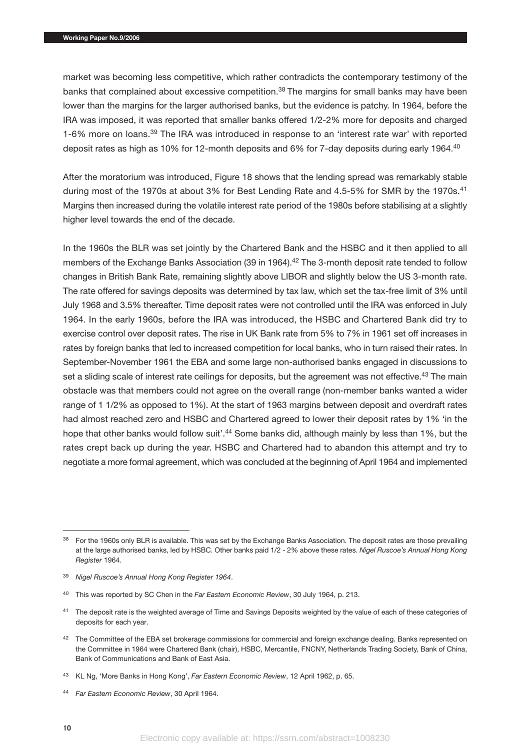market was becoming less competitive, which rather contradicts the contemporary testimony of the banks that complained about excessive competition.<sup>38</sup> The margins for small banks may have been lower than the margins for the larger authorised banks, but the evidence is patchy. In 1964, before the IRA was imposed, it was reported that smaller banks offered 1/2-2% more for deposits and charged 1-6% more on loans.39 The IRA was introduced in response to an 'interest rate war' with reported deposit rates as high as 10% for 12-month deposits and 6% for 7-day deposits during early 1964.<sup>40</sup>

After the moratorium was introduced, Figure 18 shows that the lending spread was remarkably stable during most of the 1970s at about 3% for Best Lending Rate and 4.5-5% for SMR by the 1970s.<sup>41</sup> Margins then increased during the volatile interest rate period of the 1980s before stabilising at a slightly higher level towards the end of the decade.

In the 1960s the BLR was set jointly by the Chartered Bank and the HSBC and it then applied to all members of the Exchange Banks Association (39 in 1964).<sup>42</sup> The 3-month deposit rate tended to follow changes in British Bank Rate, remaining slightly above LIBOR and slightly below the US 3-month rate. The rate offered for savings deposits was determined by tax law, which set the tax-free limit of 3% until July 1968 and 3.5% thereafter. Time deposit rates were not controlled until the IRA was enforced in July 1964. In the early 1960s, before the IRA was introduced, the HSBC and Chartered Bank did try to exercise control over deposit rates. The rise in UK Bank rate from 5% to 7% in 1961 set off increases in rates by foreign banks that led to increased competition for local banks, who in turn raised their rates. In September-November 1961 the EBA and some large non-authorised banks engaged in discussions to set a sliding scale of interest rate ceilings for deposits, but the agreement was not effective.<sup>43</sup> The main obstacle was that members could not agree on the overall range (non-member banks wanted a wider range of 1 1/2% as opposed to 1%). At the start of 1963 margins between deposit and overdraft rates had almost reached zero and HSBC and Chartered agreed to lower their deposit rates by 1% 'in the hope that other banks would follow suit'.<sup>44</sup> Some banks did, although mainly by less than 1%, but the rates crept back up during the year. HSBC and Chartered had to abandon this attempt and try to negotiate a more formal agreement, which was concluded at the beginning of April 1964 and implemented

<sup>&</sup>lt;sup>38</sup> For the 1960s only BLR is available. This was set by the Exchange Banks Association. The deposit rates are those prevailing at the large authorised banks, led by HSBC. Other banks paid 1/2 - 2% above these rates. *Nigel Ruscoe's Annual Hong Kong Register* 1964.

<sup>39</sup> *Nigel Ruscoe's Annual Hong Kong Register 1964*.

<sup>40</sup> This was reported by SC Chen in the *Far Eastern Economic Review*, 30 July 1964, p. 213.

<sup>&</sup>lt;sup>41</sup> The deposit rate is the weighted average of Time and Savings Deposits weighted by the value of each of these categories of deposits for each year.

<sup>&</sup>lt;sup>42</sup> The Committee of the EBA set brokerage commissions for commercial and foreign exchange dealing. Banks represented on the Committee in 1964 were Chartered Bank (chair), HSBC, Mercantile, FNCNY, Netherlands Trading Society, Bank of China, Bank of Communications and Bank of East Asia.

<sup>43</sup> KL Ng, 'More Banks in Hong Kong', *Far Eastern Economic Review*, 12 April 1962, p. 65.

<sup>44</sup> *Far Eastern Economic Review*, 30 April 1964.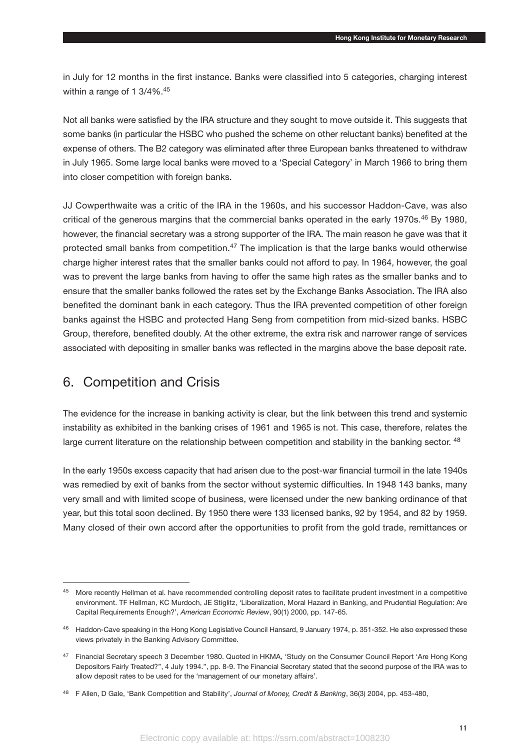in July for 12 months in the first instance. Banks were classified into 5 categories, charging interest within a range of 1 3/4%.<sup>45</sup>

Not all banks were satisfied by the IRA structure and they sought to move outside it. This suggests that some banks (in particular the HSBC who pushed the scheme on other reluctant banks) benefited at the expense of others. The B2 category was eliminated after three European banks threatened to withdraw in July 1965. Some large local banks were moved to a 'Special Category' in March 1966 to bring them into closer competition with foreign banks.

JJ Cowperthwaite was a critic of the IRA in the 1960s, and his successor Haddon-Cave, was also critical of the generous margins that the commercial banks operated in the early 1970s.<sup>46</sup> By 1980, however, the financial secretary was a strong supporter of the IRA. The main reason he gave was that it protected small banks from competition.<sup>47</sup> The implication is that the large banks would otherwise charge higher interest rates that the smaller banks could not afford to pay. In 1964, however, the goal was to prevent the large banks from having to offer the same high rates as the smaller banks and to ensure that the smaller banks followed the rates set by the Exchange Banks Association. The IRA also benefited the dominant bank in each category. Thus the IRA prevented competition of other foreign banks against the HSBC and protected Hang Seng from competition from mid-sized banks. HSBC Group, therefore, benefited doubly. At the other extreme, the extra risk and narrower range of services associated with depositing in smaller banks was reflected in the margins above the base deposit rate.

### 6. Competition and Crisis

The evidence for the increase in banking activity is clear, but the link between this trend and systemic instability as exhibited in the banking crises of 1961 and 1965 is not. This case, therefore, relates the large current literature on the relationship between competition and stability in the banking sector. <sup>48</sup>

In the early 1950s excess capacity that had arisen due to the post-war financial turmoil in the late 1940s was remedied by exit of banks from the sector without systemic difficulties. In 1948 143 banks, many very small and with limited scope of business, were licensed under the new banking ordinance of that year, but this total soon declined. By 1950 there were 133 licensed banks, 92 by 1954, and 82 by 1959. Many closed of their own accord after the opportunities to profit from the gold trade, remittances or

<sup>&</sup>lt;sup>45</sup> More recently Hellman et al. have recommended controlling deposit rates to facilitate prudent investment in a competitive environment. TF Hellman, KC Murdoch, JE Stiglitz, 'Liberalization, Moral Hazard in Banking, and Prudential Regulation: Are Capital Requirements Enough?', *American Economic Review*, 90(1) 2000, pp. 147-65.

<sup>&</sup>lt;sup>46</sup> Haddon-Cave speaking in the Hong Kong Legislative Council Hansard, 9 January 1974, p. 351-352. He also expressed these views privately in the Banking Advisory Committee.

<sup>47</sup> Financial Secretary speech 3 December 1980. Quoted in HKMA, 'Study on the Consumer Council Report 'Are Hong Kong Depositors Fairly Treated?'', 4 July 1994.'', pp. 8-9. The Financial Secretary stated that the second purpose of the IRA was to allow deposit rates to be used for the 'management of our monetary affairs'.

<sup>48</sup> F Allen, D Gale, 'Bank Competition and Stability', *Journal of Money, Credit & Banking*, 36(3) 2004, pp. 453-480,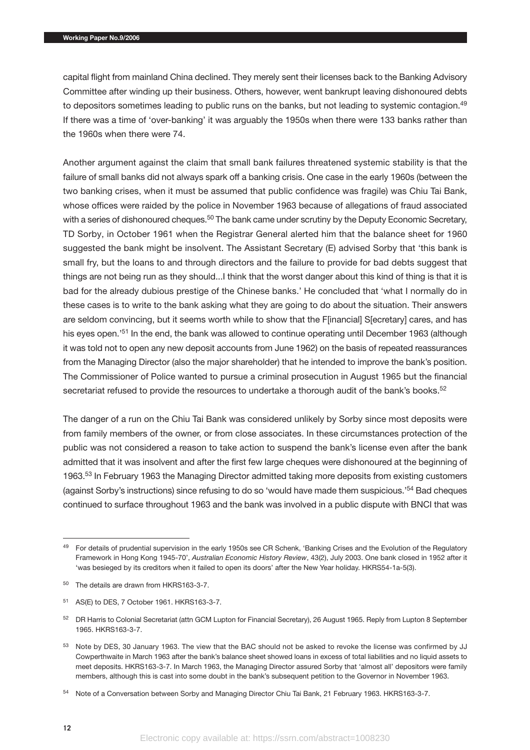capital flight from mainland China declined. They merely sent their licenses back to the Banking Advisory Committee after winding up their business. Others, however, went bankrupt leaving dishonoured debts to depositors sometimes leading to public runs on the banks, but not leading to systemic contagion.<sup>49</sup> If there was a time of 'over-banking' it was arguably the 1950s when there were 133 banks rather than the 1960s when there were 74.

Another argument against the claim that small bank failures threatened systemic stability is that the failure of small banks did not always spark off a banking crisis. One case in the early 1960s (between the two banking crises, when it must be assumed that public confidence was fragile) was Chiu Tai Bank, whose offices were raided by the police in November 1963 because of allegations of fraud associated with a series of dishonoured cheques.<sup>50</sup> The bank came under scrutiny by the Deputy Economic Secretary, TD Sorby, in October 1961 when the Registrar General alerted him that the balance sheet for 1960 suggested the bank might be insolvent. The Assistant Secretary (E) advised Sorby that 'this bank is small fry, but the loans to and through directors and the failure to provide for bad debts suggest that things are not being run as they should...I think that the worst danger about this kind of thing is that it is bad for the already dubious prestige of the Chinese banks.' He concluded that 'what I normally do in these cases is to write to the bank asking what they are going to do about the situation. Their answers are seldom convincing, but it seems worth while to show that the F[inancial] S[ecretary] cares, and has his eyes open.<sup>'51</sup> In the end, the bank was allowed to continue operating until December 1963 (although it was told not to open any new deposit accounts from June 1962) on the basis of repeated reassurances from the Managing Director (also the major shareholder) that he intended to improve the bank's position. The Commissioner of Police wanted to pursue a criminal prosecution in August 1965 but the financial secretariat refused to provide the resources to undertake a thorough audit of the bank's books.<sup>52</sup>

The danger of a run on the Chiu Tai Bank was considered unlikely by Sorby since most deposits were from family members of the owner, or from close associates. In these circumstances protection of the public was not considered a reason to take action to suspend the bank's license even after the bank admitted that it was insolvent and after the first few large cheques were dishonoured at the beginning of 1963.<sup>53</sup> In February 1963 the Managing Director admitted taking more deposits from existing customers (against Sorby's instructions) since refusing to do so 'would have made them suspicious.'54 Bad cheques continued to surface throughout 1963 and the bank was involved in a public dispute with BNCI that was

<sup>&</sup>lt;sup>49</sup> For details of prudential supervision in the early 1950s see CR Schenk, 'Banking Crises and the Evolution of the Regulatory Framework in Hong Kong 1945-70', *Australian Economic History Review*, 43(2), July 2003. One bank closed in 1952 after it 'was besieged by its creditors when it failed to open its doors' after the New Year holiday. HKRS54-1a-5(3).

<sup>50</sup> The details are drawn from HKRS163-3-7.

<sup>51</sup> AS(E) to DES, 7 October 1961. HKRS163-3-7.

<sup>52</sup> DR Harris to Colonial Secretariat (attn GCM Lupton for Financial Secretary), 26 August 1965. Reply from Lupton 8 September 1965. HKRS163-3-7.

<sup>53</sup> Note by DES, 30 January 1963. The view that the BAC should not be asked to revoke the license was confirmed by JJ Cowperthwaite in March 1963 after the bank's balance sheet showed loans in excess of total liabilities and no liquid assets to meet deposits. HKRS163-3-7. In March 1963, the Managing Director assured Sorby that 'almost all' depositors were family members, although this is cast into some doubt in the bank's subsequent petition to the Governor in November 1963.

<sup>54</sup> Note of a Conversation between Sorby and Managing Director Chiu Tai Bank, 21 February 1963. HKRS163-3-7.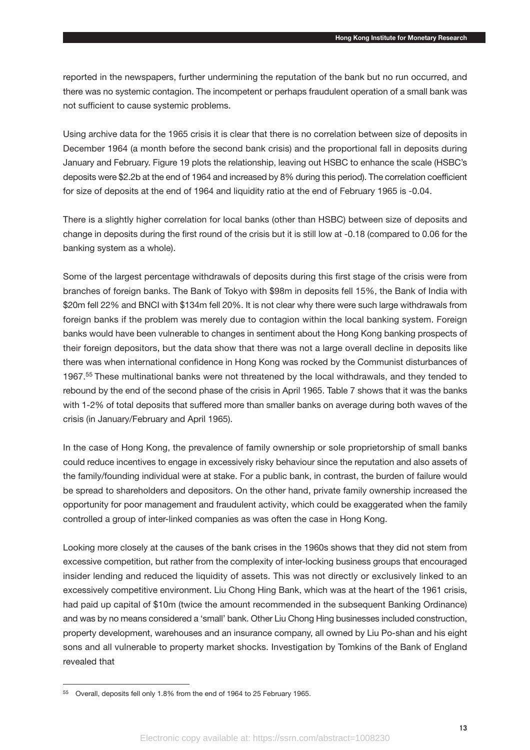reported in the newspapers, further undermining the reputation of the bank but no run occurred, and there was no systemic contagion. The incompetent or perhaps fraudulent operation of a small bank was not sufficient to cause systemic problems.

Using archive data for the 1965 crisis it is clear that there is no correlation between size of deposits in December 1964 (a month before the second bank crisis) and the proportional fall in deposits during January and February. Figure 19 plots the relationship, leaving out HSBC to enhance the scale (HSBC's deposits were \$2.2b at the end of 1964 and increased by 8% during this period). The correlation coefficient for size of deposits at the end of 1964 and liquidity ratio at the end of February 1965 is -0.04.

There is a slightly higher correlation for local banks (other than HSBC) between size of deposits and change in deposits during the first round of the crisis but it is still low at -0.18 (compared to 0.06 for the banking system as a whole).

Some of the largest percentage withdrawals of deposits during this first stage of the crisis were from branches of foreign banks. The Bank of Tokyo with \$98m in deposits fell 15%, the Bank of India with \$20m fell 22% and BNCI with \$134m fell 20%. It is not clear why there were such large withdrawals from foreign banks if the problem was merely due to contagion within the local banking system. Foreign banks would have been vulnerable to changes in sentiment about the Hong Kong banking prospects of their foreign depositors, but the data show that there was not a large overall decline in deposits like there was when international confidence in Hong Kong was rocked by the Communist disturbances of 1967.55 These multinational banks were not threatened by the local withdrawals, and they tended to rebound by the end of the second phase of the crisis in April 1965. Table 7 shows that it was the banks with 1-2% of total deposits that suffered more than smaller banks on average during both waves of the crisis (in January/February and April 1965).

In the case of Hong Kong, the prevalence of family ownership or sole proprietorship of small banks could reduce incentives to engage in excessively risky behaviour since the reputation and also assets of the family/founding individual were at stake. For a public bank, in contrast, the burden of failure would be spread to shareholders and depositors. On the other hand, private family ownership increased the opportunity for poor management and fraudulent activity, which could be exaggerated when the family controlled a group of inter-linked companies as was often the case in Hong Kong.

Looking more closely at the causes of the bank crises in the 1960s shows that they did not stem from excessive competition, but rather from the complexity of inter-locking business groups that encouraged insider lending and reduced the liquidity of assets. This was not directly or exclusively linked to an excessively competitive environment. Liu Chong Hing Bank, which was at the heart of the 1961 crisis, had paid up capital of \$10m (twice the amount recommended in the subsequent Banking Ordinance) and was by no means considered a 'small' bank. Other Liu Chong Hing businesses included construction, property development, warehouses and an insurance company, all owned by Liu Po-shan and his eight sons and all vulnerable to property market shocks. Investigation by Tomkins of the Bank of England revealed that

<sup>55</sup> Overall, deposits fell only 1.8% from the end of 1964 to 25 February 1965.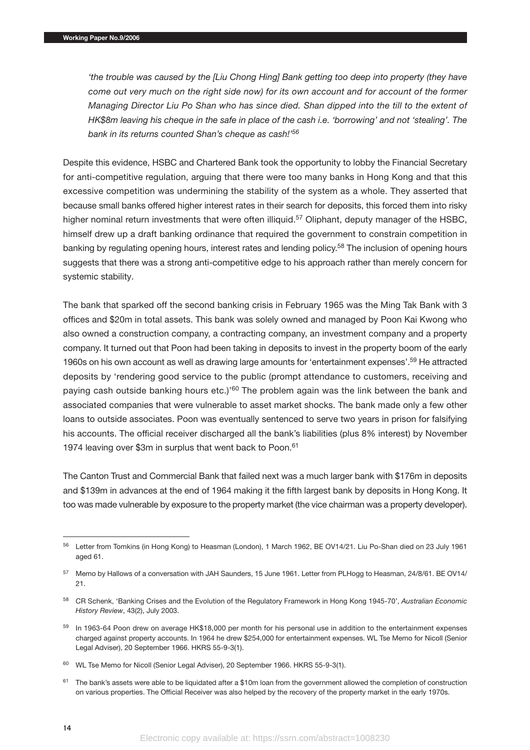*'the trouble was caused by the [Liu Chong Hing] Bank getting too deep into property (they have come out very much on the right side now) for its own account and for account of the former Managing Director Liu Po Shan who has since died. Shan dipped into the till to the extent of HK\$8m leaving his cheque in the safe in place of the cash i.e. 'borrowing' and not 'stealing'. The bank in its returns counted Shan's cheque as cash!'56*

Despite this evidence, HSBC and Chartered Bank took the opportunity to lobby the Financial Secretary for anti-competitive regulation, arguing that there were too many banks in Hong Kong and that this excessive competition was undermining the stability of the system as a whole. They asserted that because small banks offered higher interest rates in their search for deposits, this forced them into risky higher nominal return investments that were often illiquid.<sup>57</sup> Oliphant, deputy manager of the HSBC, himself drew up a draft banking ordinance that required the government to constrain competition in banking by regulating opening hours, interest rates and lending policy.<sup>58</sup> The inclusion of opening hours suggests that there was a strong anti-competitive edge to his approach rather than merely concern for systemic stability.

The bank that sparked off the second banking crisis in February 1965 was the Ming Tak Bank with 3 offices and \$20m in total assets. This bank was solely owned and managed by Poon Kai Kwong who also owned a construction company, a contracting company, an investment company and a property company. It turned out that Poon had been taking in deposits to invest in the property boom of the early 1960s on his own account as well as drawing large amounts for 'entertainment expenses'.59 He attracted deposits by 'rendering good service to the public (prompt attendance to customers, receiving and paying cash outside banking hours etc.)<sup>'60</sup> The problem again was the link between the bank and associated companies that were vulnerable to asset market shocks. The bank made only a few other loans to outside associates. Poon was eventually sentenced to serve two years in prison for falsifying his accounts. The official receiver discharged all the bank's liabilities (plus 8% interest) by November 1974 leaving over \$3m in surplus that went back to Poon.<sup>61</sup>

The Canton Trust and Commercial Bank that failed next was a much larger bank with \$176m in deposits and \$139m in advances at the end of 1964 making it the fifth largest bank by deposits in Hong Kong. It too was made vulnerable by exposure to the property market (the vice chairman was a property developer).

<sup>56</sup> Letter from Tomkins (in Hong Kong) to Heasman (London), 1 March 1962, BE OV14/21. Liu Po-Shan died on 23 July 1961 aged 61.

<sup>57</sup> Memo by Hallows of a conversation with JAH Saunders, 15 June 1961. Letter from PLHogg to Heasman, 24/8/61. BE OV14/ 21.

<sup>58</sup> CR Schenk, 'Banking Crises and the Evolution of the Regulatory Framework in Hong Kong 1945-70', *Australian Economic History Review*, 43(2), July 2003.

<sup>59</sup> In 1963-64 Poon drew on average HK\$18,000 per month for his personal use in addition to the entertainment expenses charged against property accounts. In 1964 he drew \$254,000 for entertainment expenses. WL Tse Memo for Nicoll (Senior Legal Adviser), 20 September 1966. HKRS 55-9-3(1).

<sup>60</sup> WL Tse Memo for Nicoll (Senior Legal Adviser), 20 September 1966. HKRS 55-9-3(1).

 $61$  The bank's assets were able to be liquidated after a \$10m loan from the government allowed the completion of construction on various properties. The Official Receiver was also helped by the recovery of the property market in the early 1970s.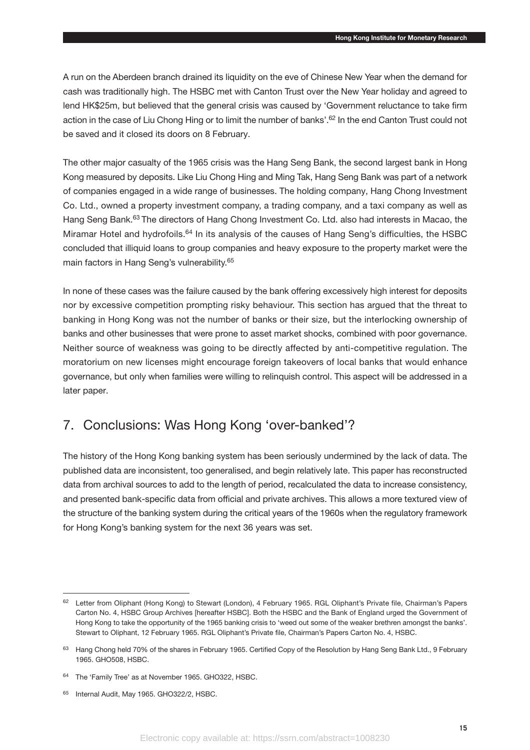A run on the Aberdeen branch drained its liquidity on the eve of Chinese New Year when the demand for cash was traditionally high. The HSBC met with Canton Trust over the New Year holiday and agreed to lend HK\$25m, but believed that the general crisis was caused by 'Government reluctance to take firm action in the case of Liu Chong Hing or to limit the number of banks'.<sup>62</sup> In the end Canton Trust could not be saved and it closed its doors on 8 February.

The other major casualty of the 1965 crisis was the Hang Seng Bank, the second largest bank in Hong Kong measured by deposits. Like Liu Chong Hing and Ming Tak, Hang Seng Bank was part of a network of companies engaged in a wide range of businesses. The holding company, Hang Chong Investment Co. Ltd., owned a property investment company, a trading company, and a taxi company as well as Hang Seng Bank.<sup>63</sup> The directors of Hang Chong Investment Co. Ltd. also had interests in Macao, the Miramar Hotel and hydrofoils.<sup>64</sup> In its analysis of the causes of Hang Seng's difficulties, the HSBC concluded that illiquid loans to group companies and heavy exposure to the property market were the main factors in Hang Seng's vulnerability.<sup>65</sup>

In none of these cases was the failure caused by the bank offering excessively high interest for deposits nor by excessive competition prompting risky behaviour. This section has argued that the threat to banking in Hong Kong was not the number of banks or their size, but the interlocking ownership of banks and other businesses that were prone to asset market shocks, combined with poor governance. Neither source of weakness was going to be directly affected by anti-competitive regulation. The moratorium on new licenses might encourage foreign takeovers of local banks that would enhance governance, but only when families were willing to relinquish control. This aspect will be addressed in a later paper.

# 7. Conclusions: Was Hong Kong 'over-banked'?

The history of the Hong Kong banking system has been seriously undermined by the lack of data. The published data are inconsistent, too generalised, and begin relatively late. This paper has reconstructed data from archival sources to add to the length of period, recalculated the data to increase consistency, and presented bank-specific data from official and private archives. This allows a more textured view of the structure of the banking system during the critical years of the 1960s when the regulatory framework for Hong Kong's banking system for the next 36 years was set.

<sup>&</sup>lt;sup>62</sup> Letter from Oliphant (Hong Kong) to Stewart (London), 4 February 1965. RGL Oliphant's Private file, Chairman's Papers Carton No. 4, HSBC Group Archives [hereafter HSBC]. Both the HSBC and the Bank of England urged the Government of Hong Kong to take the opportunity of the 1965 banking crisis to 'weed out some of the weaker brethren amongst the banks'. Stewart to Oliphant, 12 February 1965. RGL Oliphant's Private file, Chairman's Papers Carton No. 4, HSBC.

<sup>63</sup> Hang Chong held 70% of the shares in February 1965. Certified Copy of the Resolution by Hang Seng Bank Ltd., 9 February 1965. GHO508, HSBC.

<sup>&</sup>lt;sup>64</sup> The 'Family Tree' as at November 1965. GHO322, HSBC.

<sup>65</sup> Internal Audit, May 1965. GHO322/2, HSBC.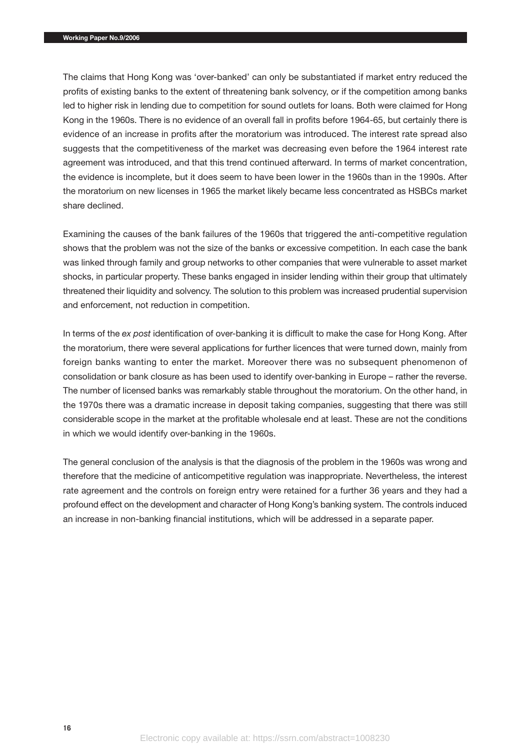The claims that Hong Kong was 'over-banked' can only be substantiated if market entry reduced the profits of existing banks to the extent of threatening bank solvency, or if the competition among banks led to higher risk in lending due to competition for sound outlets for loans. Both were claimed for Hong Kong in the 1960s. There is no evidence of an overall fall in profits before 1964-65, but certainly there is evidence of an increase in profits after the moratorium was introduced. The interest rate spread also suggests that the competitiveness of the market was decreasing even before the 1964 interest rate agreement was introduced, and that this trend continued afterward. In terms of market concentration, the evidence is incomplete, but it does seem to have been lower in the 1960s than in the 1990s. After the moratorium on new licenses in 1965 the market likely became less concentrated as HSBCs market share declined.

Examining the causes of the bank failures of the 1960s that triggered the anti-competitive regulation shows that the problem was not the size of the banks or excessive competition. In each case the bank was linked through family and group networks to other companies that were vulnerable to asset market shocks, in particular property. These banks engaged in insider lending within their group that ultimately threatened their liquidity and solvency. The solution to this problem was increased prudential supervision and enforcement, not reduction in competition.

In terms of the *ex post* identification of over-banking it is difficult to make the case for Hong Kong. After the moratorium, there were several applications for further licences that were turned down, mainly from foreign banks wanting to enter the market. Moreover there was no subsequent phenomenon of consolidation or bank closure as has been used to identify over-banking in Europe – rather the reverse. The number of licensed banks was remarkably stable throughout the moratorium. On the other hand, in the 1970s there was a dramatic increase in deposit taking companies, suggesting that there was still considerable scope in the market at the profitable wholesale end at least. These are not the conditions in which we would identify over-banking in the 1960s.

The general conclusion of the analysis is that the diagnosis of the problem in the 1960s was wrong and therefore that the medicine of anticompetitive regulation was inappropriate. Nevertheless, the interest rate agreement and the controls on foreign entry were retained for a further 36 years and they had a profound effect on the development and character of Hong Kong's banking system. The controls induced an increase in non-banking financial institutions, which will be addressed in a separate paper.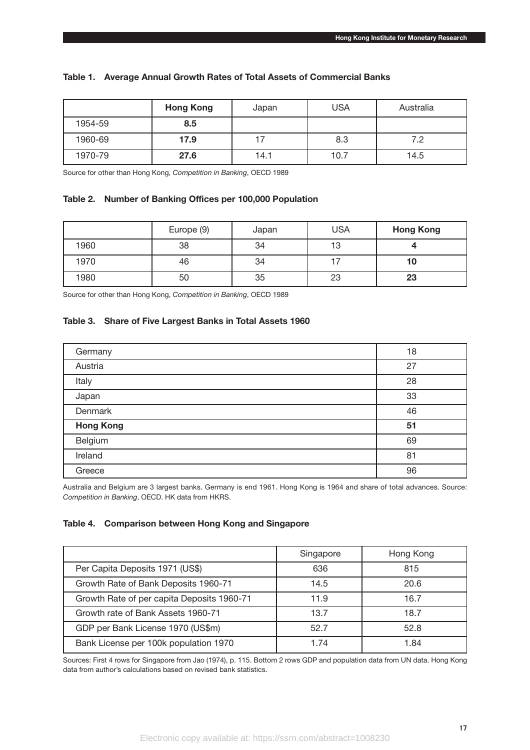|         | <b>Hong Kong</b> | Japan | <b>USA</b> | Australia |
|---------|------------------|-------|------------|-----------|
| 1954-59 | 8.5              |       |            |           |
| 1960-69 | 17.9             |       | 8.3        | 7.2       |
| 1970-79 | 27.6             | 14.1  | 10.7       | 14.5      |

#### **Table 1. Average Annual Growth Rates of Total Assets of Commercial Banks**

Source for other than Hong Kong, *Competition in Banking*, OECD 1989

#### **Table 2. Number of Banking Offices per 100,000 Population**

|      | Europe (9) | Japan | <b>USA</b> | <b>Hong Kong</b> |
|------|------------|-------|------------|------------------|
| 1960 | 38         | 34    | 13         |                  |
| 1970 | 46         | 34    |            | 10               |
| 1980 | 50         | 35    | 23         | 23               |

Source for other than Hong Kong, *Competition in Banking*, OECD 1989

### **Table 3. Share of Five Largest Banks in Total Assets 1960**

| Germany          | 18 |
|------------------|----|
| Austria          | 27 |
| Italy            | 28 |
| Japan            | 33 |
| Denmark          | 46 |
| <b>Hong Kong</b> | 51 |
| Belgium          | 69 |
| Ireland          | 81 |
| Greece           | 96 |

Australia and Belgium are 3 largest banks. Germany is end 1961. Hong Kong is 1964 and share of total advances. Source: *Competition in Banking*, OECD. HK data from HKRS.

#### **Table 4. Comparison between Hong Kong and Singapore**

|                                            | Singapore | Hong Kong |
|--------------------------------------------|-----------|-----------|
| Per Capita Deposits 1971 (US\$)            | 636       | 815       |
| Growth Rate of Bank Deposits 1960-71       | 14.5      | 20.6      |
| Growth Rate of per capita Deposits 1960-71 | 11.9      | 16.7      |
| Growth rate of Bank Assets 1960-71         | 13.7      | 18.7      |
| GDP per Bank License 1970 (US\$m)          | 52.7      | 52.8      |
| Bank License per 100k population 1970      | 1.74      | 1 84      |

Sources: First 4 rows for Singapore from Jao (1974), p. 115. Bottom 2 rows GDP and population data from UN data. Hong Kong data from author's calculations based on revised bank statistics.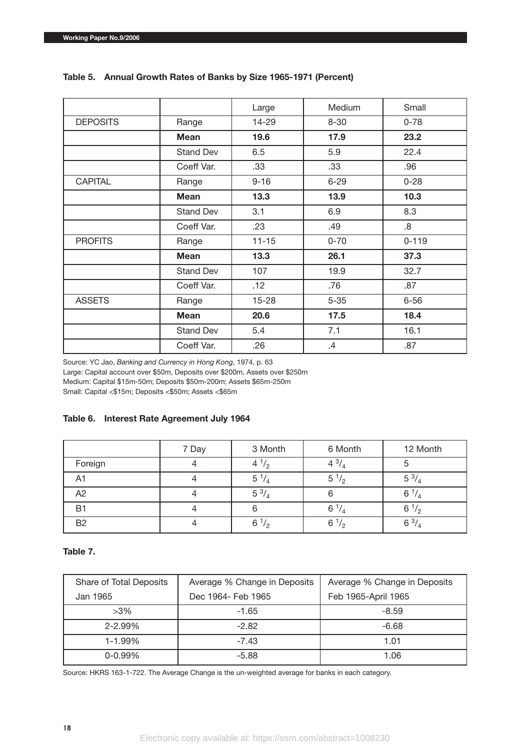|                 |                  | Large     | Medium   | Small     |
|-----------------|------------------|-----------|----------|-----------|
| <b>DEPOSITS</b> | Range            | 14-29     | $8 - 30$ | $0 - 78$  |
|                 | <b>Mean</b>      | 19.6      | 17.9     | 23.2      |
|                 | <b>Stand Dev</b> | 6.5       | 5.9      | 22.4      |
|                 | Coeff Var.       | .33       | .33      | .96       |
| <b>CAPITAL</b>  | Range            | $9 - 16$  | $6 - 29$ | $0 - 28$  |
|                 | <b>Mean</b>      | 13.3      | 13.9     | 10.3      |
|                 | <b>Stand Dev</b> | 3.1       | 6.9      | 8.3       |
|                 | Coeff Var.       | .23       | .49      | .8        |
| <b>PROFITS</b>  | Range            | $11 - 15$ | $0 - 70$ | $0 - 119$ |
|                 | <b>Mean</b>      | 13.3      | 26.1     | 37.3      |
|                 | <b>Stand Dev</b> | 107       | 19.9     | 32.7      |
|                 | Coeff Var.       | .12       | .76      | .87       |
| <b>ASSETS</b>   | Range            | $15 - 28$ | $5 - 35$ | $6 - 56$  |
|                 | <b>Mean</b>      | 20.6      | 17.5     | 18.4      |
|                 | <b>Stand Dev</b> | 5.4       | 7.1      | 16.1      |
|                 | Coeff Var.       | .26       | .4       | .87       |

#### **Table 5. Annual Growth Rates of Banks by Size 1965-1971 (Percent)**

Source: YC Jao, *Banking and Currency in Hong Kong*, 1974, p. 63

Large: Capital account over \$50m, Deposits over \$200m, Assets over \$250m

Medium: Capital \$15m-50m; Deposits \$50m-200m; Assets \$65m-250m

Small: Capital <\$15m; Deposits <\$50m; Assets <\$65m

### **Table 6. Interest Rate Agreement July 1964**

|                | 7 Day | 3 Month      | 6 Month        | 12 Month     |
|----------------|-------|--------------|----------------|--------------|
| Foreign        |       | $4^{1/2}$    | $4^{3}/_{4}$   | C            |
| A <sub>1</sub> |       | $5^{1/4}$    | $5\frac{1}{2}$ | $5^{3}/_{4}$ |
| A2             |       | $5^{3}/_{4}$ | 6              | $6^{1/4}$    |
| B <sub>1</sub> |       | 6            | $6^{1/4}$      | $6^{1/2}$    |
| <b>B2</b>      |       | $6^{1/2}$    | $6^{1/2}$      | $6^{3}/_{4}$ |

**Table 7.**

| Share of Total Deposits | Average % Change in Deposits | Average % Change in Deposits |  |
|-------------------------|------------------------------|------------------------------|--|
| Jan 1965                | Dec 1964- Feb 1965           | Feb 1965-April 1965          |  |
| $>3\%$                  | $-1.65$                      | $-8.59$                      |  |
| $2 - 2.99%$             | $-2.82$                      | $-6.68$                      |  |
| 1-1.99%                 | $-7.43$                      | 1.01                         |  |
| $0 - 0.99\%$            | $-5.88$                      | 1.06                         |  |

Source: HKRS 163-1-722. The Average Change is the un-weighted average for banks in each category.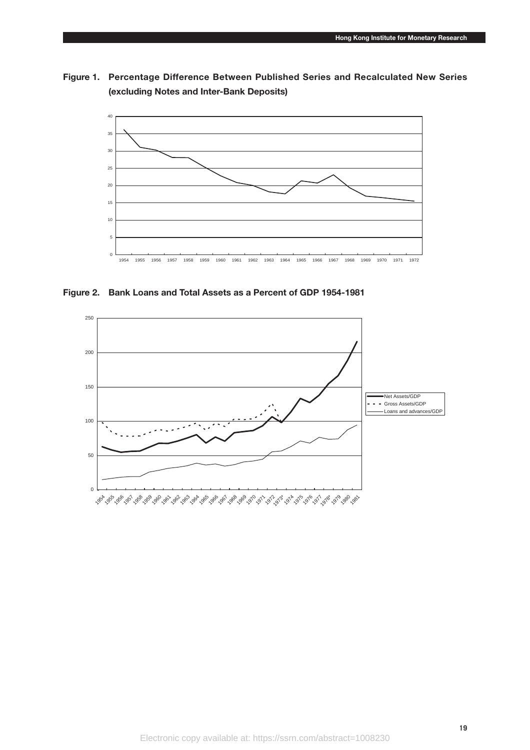



**Figure 2. Bank Loans and Total Assets as a Percent of GDP 1954-1981**

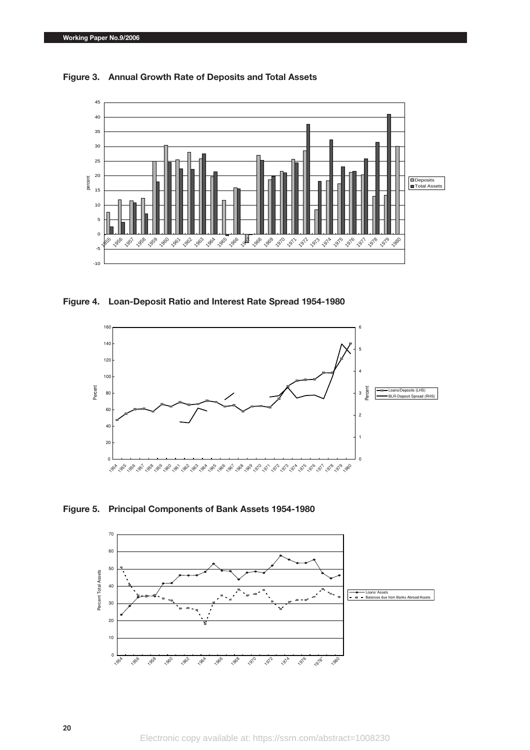

**Figure 3. Annual Growth Rate of Deposits and Total Assets**

**Figure 4. Loan-Deposit Ratio and Interest Rate Spread 1954-1980**



**Figure 5. Principal Components of Bank Assets 1954-1980**

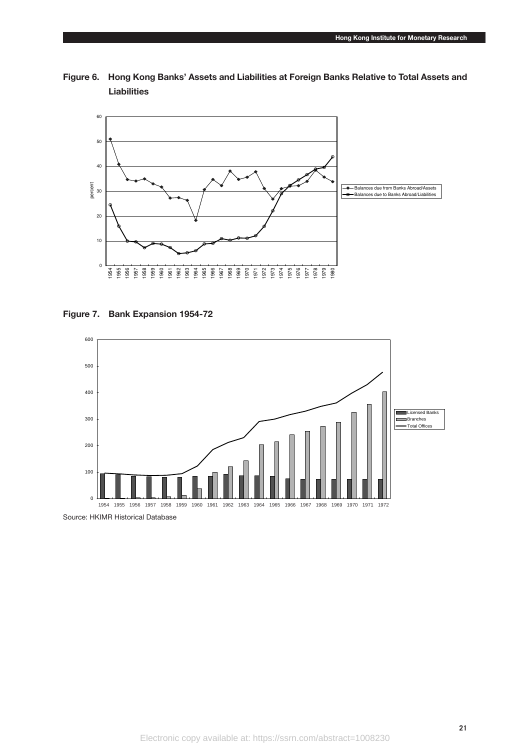



**Figure 7. Bank Expansion 1954-72**

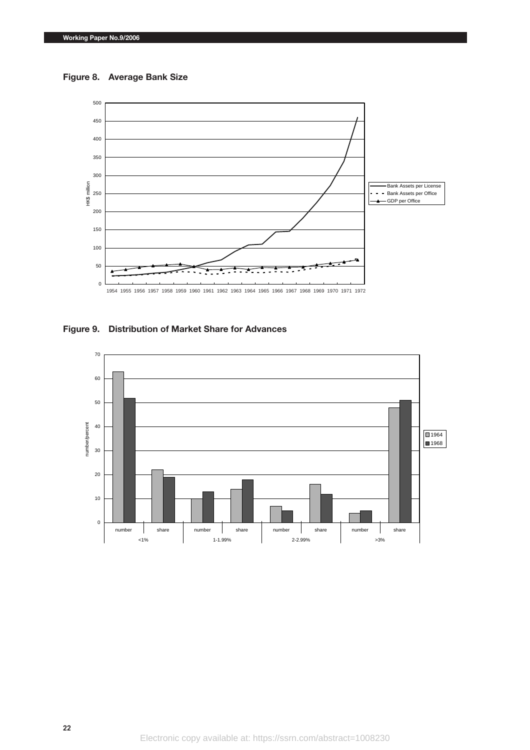**Figure 8. Average Bank Size**



**Figure 9. Distribution of Market Share for Advances**

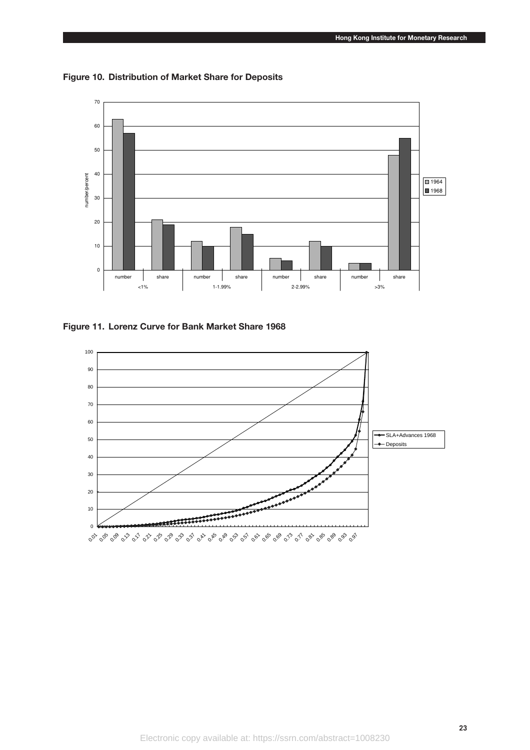



**Figure 11. Lorenz Curve for Bank Market Share 1968**

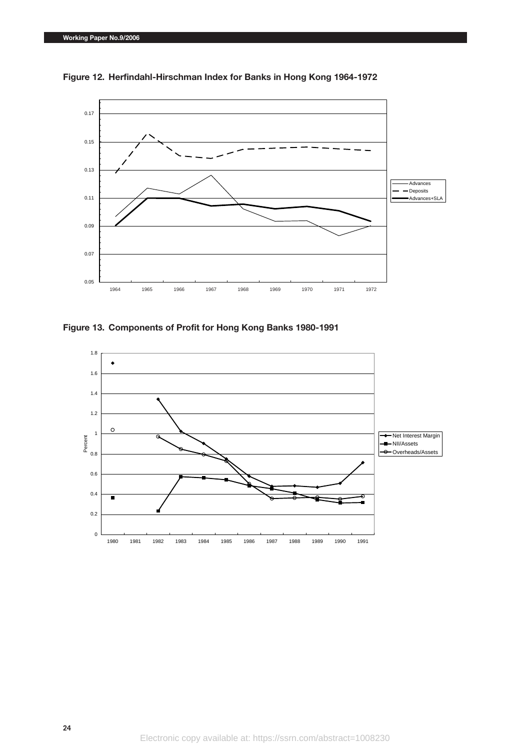

**Figure 12. Herfindahl-Hirschman Index for Banks in Hong Kong 1964-1972**

**Figure 13. Components of Profit for Hong Kong Banks 1980-1991**

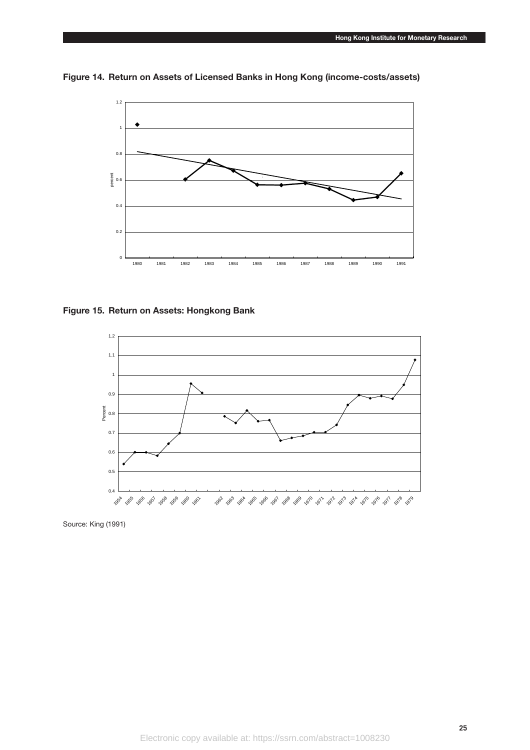

**Figure 14. Return on Assets of Licensed Banks in Hong Kong (income-costs/assets)**

**Figure 15. Return on Assets: Hongkong Bank**



Source: King (1991)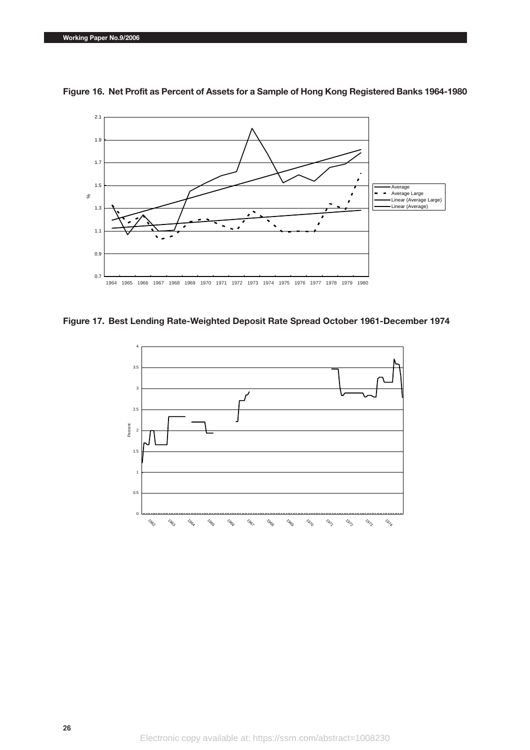

**Figure 16. Net Profit as Percent of Assets for a Sample of Hong Kong Registered Banks 1964-1980**

**Figure 17. Best Lending Rate-Weighted Deposit Rate Spread October 1961-December 1974**